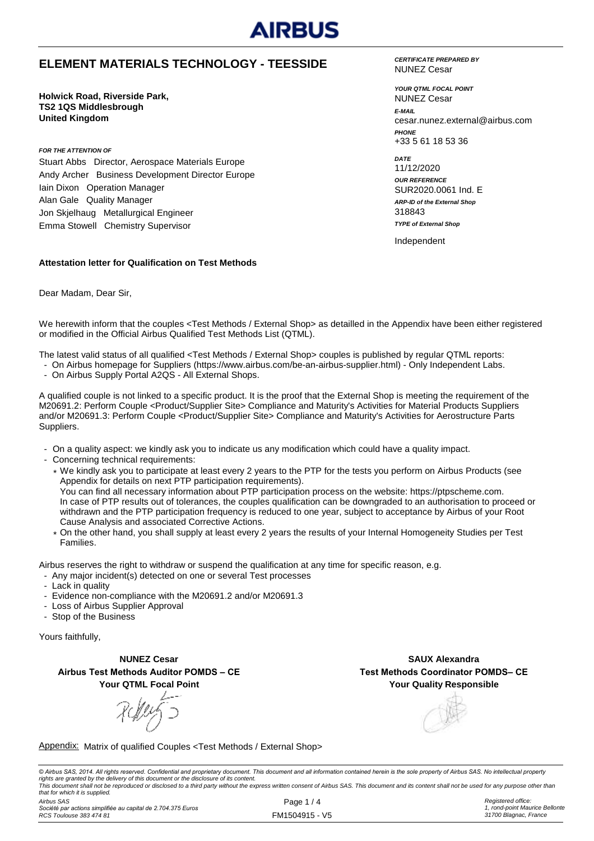

### **ELEMENT MATERIALS TECHNOLOGY - TEESSIDE**

**Holwick Road, Riverside Park, TS2 1QS Middlesbrough United Kingdom**

*FOR THE ATTENTION OF*

Stuart Abbs Director, Aerospace Materials Europe Andy Archer Business Development Director Europe Iain Dixon Operation Manager Alan Gale Quality Manager Jon Skjelhaug Metallurgical Engineer Emma Stowell Chemistry Supervisor

#### **Attestation letter for Qualification on Test Methods**

Dear Madam, Dear Sir,

We herewith inform that the couples <Test Methods / External Shop> as detailled in the Appendix have been either registered or modified in the Official Airbus Qualified Test Methods List (QTML).

The latest valid status of all qualified <Test Methods / External Shop> couples is published by regular QTML reports:

- On Airbus homepage for Suppliers (https://www.airbus.com/be-an-airbus-supplier.html) Only Independent Labs.
- On Airbus Supply Portal A2QS All External Shops.

A qualified couple is not linked to a specific product. It is the proof that the External Shop is meeting the requirement of the M20691.2: Perform Couple <Product/Supplier Site> Compliance and Maturity's Activities for Material Products Suppliers and/or M20691.3: Perform Couple <Product/Supplier Site> Compliance and Maturity's Activities for Aerostructure Parts Suppliers.

- On a quality aspect: we kindly ask you to indicate us any modification which could have a quality impact.
- Concerning technical requirements:
	- \* We kindly ask you to participate at least every 2 years to the PTP for the tests you perform on Airbus Products (see Appendix for details on next PTP participation requirements). You can find all necessary information about PTP participation process on the website: https://ptpscheme.com. In case of PTP results out of tolerances, the couples qualification can be downgraded to an authorisation to proceed or withdrawn and the PTP participation frequency is reduced to one year, subject to acceptance by Airbus of your Root Cause Analysis and associated Corrective Actions.
	- \* On the other hand, you shall supply at least every 2 years the results of your Internal Homogeneity Studies per Test Families.

Airbus reserves the right to withdraw or suspend the qualification at any time for specific reason, e.g.

- Any major incident(s) detected on one or several Test processes
- Lack in quality
- Evidence non-compliance with the M20691.2 and/or M20691.3
- Loss of Airbus Supplier Approval
- Stop of the Business

Yours faithfully,

**NUNEZ Cesar Airbus Test Methods Auditor POMDS – CE Your QTML Focal Point**

RMY 5

**Your Quality Responsible SAUX Alexandra Test Methods Coordinator POMDS– CE**

Appendix: Matrix of qualified Couples <Test Methods / External Shop>

© Airbus SAS, 2014. All rights reserved. Confidential and proprietary document. This document and all information contained herein is the sole property of Airbus SAS. No intellectual property rights are granted by the delivery of this document or the disclosure of its content.<br>This document shall not be reproduced or disclosed to a third party without the express written consent of Airbus SAS. This document and *that for which it is supplied.*

*Airbus SAS Société par actions simplifiée au capital de 2.704.375 Euros RCS Toulouse 383 474 81*

Page 1 / 4 FM1504915 - V5 *Registered office: 1, rond-point Maurice Bellonte 31700 Blagnac, France*

*CERTIFICATE PREPARED BY* NUNEZ Cesar

*YOUR QTML FOCAL POINT E-MAIL* cesar.nunez.external@airbus.com *PHONE* +33 5 61 18 53 36 NUNEZ Cesar

*ARP-ID of the External Shop DATE* 11/12/2020 *OUR REFERENCE* SUR2020.0061 Ind. E 318843 *TYPE of External Shop*

Independent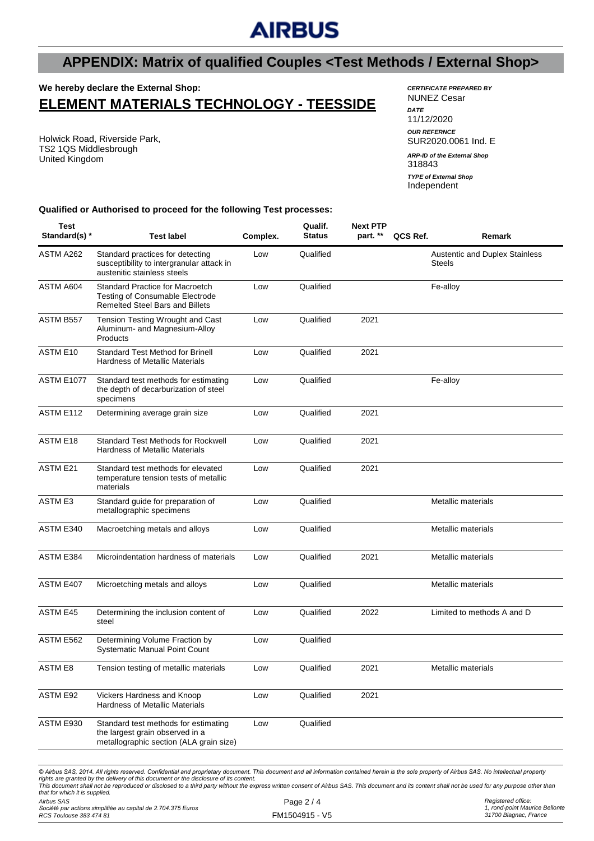# **AIRBUS**

# **APPENDIX: Matrix of qualified Couples <Test Methods / External Shop>**

#### **We hereby declare the External Shop:**

## **ELEMENT MATERIALS TECHNOLOGY - TEESSIDE**

Holwick Road, Riverside Park, TS2 1QS Middlesbrough United Kingdom

#### *CERTIFICATE PREPARED BY* NUNEZ Cesar *DATE* 11/12/2020 *OUR REFERNCE* SUR2020.0061 Ind. E 318843 *ARP-ID of the External Shop*

Independent *TYPE of External Shop*

**Qualified or Authorised to proceed for the following Test processes:**

| Test<br>Standard(s) * | <b>Test label</b>                                                                                                          | Complex. | Qualif.<br><b>Status</b> | <b>Next PTP</b><br>part. ** | QCS Ref. | Remark                                                 |
|-----------------------|----------------------------------------------------------------------------------------------------------------------------|----------|--------------------------|-----------------------------|----------|--------------------------------------------------------|
| ASTM A262             | Standard practices for detecting<br>susceptibility to intergranular attack in<br>austenitic stainless steels               | Low      | Qualified                |                             |          | <b>Austentic and Duplex Stainless</b><br><b>Steels</b> |
| ASTM A604             | <b>Standard Practice for Macroetch</b><br><b>Testing of Consumable Electrode</b><br><b>Remelted Steel Bars and Billets</b> | Low      | Qualified                |                             |          | Fe-alloy                                               |
| ASTM B557             | Tension Testing Wrought and Cast<br>Aluminum- and Magnesium-Alloy<br>Products                                              | Low      | Qualified                | 2021                        |          |                                                        |
| ASTM E10              | <b>Standard Test Method for Brinell</b><br><b>Hardness of Metallic Materials</b>                                           | Low      | Qualified                | 2021                        |          |                                                        |
| <b>ASTM E1077</b>     | Standard test methods for estimating<br>the depth of decarburization of steel<br>specimens                                 | Low      | Qualified                |                             |          | Fe-alloy                                               |
| ASTM E112             | Determining average grain size                                                                                             | Low      | Qualified                | 2021                        |          |                                                        |
| ASTM E18              | <b>Standard Test Methods for Rockwell</b><br><b>Hardness of Metallic Materials</b>                                         | Low      | Qualified                | 2021                        |          |                                                        |
| <b>ASTM E21</b>       | Standard test methods for elevated<br>temperature tension tests of metallic<br>materials                                   | Low      | Qualified                | 2021                        |          |                                                        |
| <b>ASTM E3</b>        | Standard guide for preparation of<br>metallographic specimens                                                              | Low      | Qualified                |                             |          | Metallic materials                                     |
| ASTM E340             | Macroetching metals and alloys                                                                                             | Low      | Qualified                |                             |          | Metallic materials                                     |
| ASTM E384             | Microindentation hardness of materials                                                                                     | Low      | Qualified                | 2021                        |          | Metallic materials                                     |
| ASTM E407             | Microetching metals and alloys                                                                                             | Low      | Qualified                |                             |          | Metallic materials                                     |
| ASTM E45              | Determining the inclusion content of<br>steel                                                                              | Low      | Qualified                | 2022                        |          | Limited to methods A and D                             |
| ASTM E562             | Determining Volume Fraction by<br>Systematic Manual Point Count                                                            | Low      | Qualified                |                             |          |                                                        |
| <b>ASTM E8</b>        | Tension testing of metallic materials                                                                                      | Low      | Qualified                | 2021                        |          | Metallic materials                                     |
| ASTM E92              | Vickers Hardness and Knoop<br>Hardness of Metallic Materials                                                               | Low      | Qualified                | 2021                        |          |                                                        |
| ASTM E930             | Standard test methods for estimating<br>the largest grain observed in a<br>metallographic section (ALA grain size)         | Low      | Qualified                |                             |          |                                                        |
|                       |                                                                                                                            |          |                          |                             |          |                                                        |

*© Airbus SAS, 2014. All rights reserved. Confidential and proprietary document. This document and all information contained herein is the sole property of Airbus SAS. No intellectual property*  rights are granted by the delivery of this document or the disclosure of its content.<br>This document shall not be reproduced or disclosed to a third party without the express written consent of Airbus SAS. This document and *that for which it is supplied.*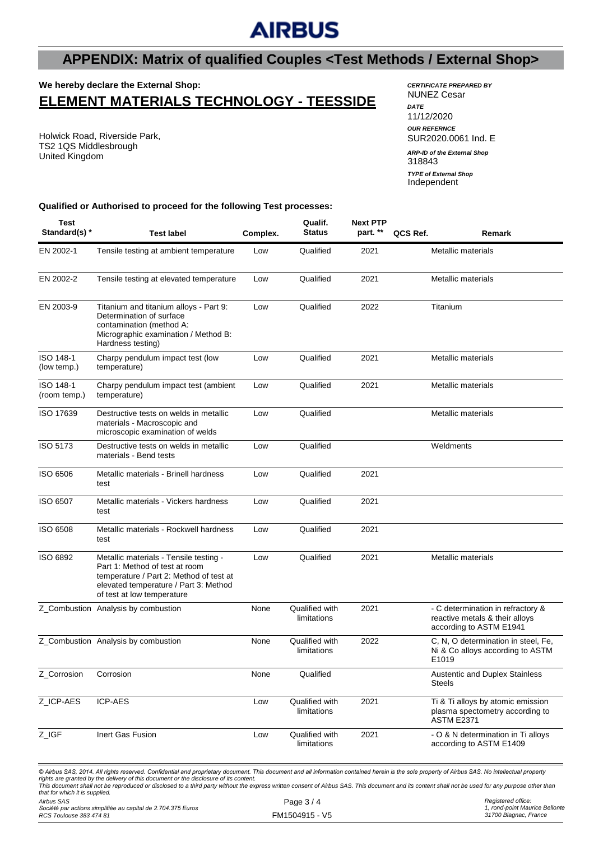# **AIRBUS**

## **APPENDIX: Matrix of qualified Couples <Test Methods / External Shop>**

### **We hereby declare the External Shop: ELEMENT MATERIALS TECHNOLOGY - TEESSIDE**

Holwick Road, Riverside Park, TS2 1QS Middlesbrough United Kingdom

#### *CERTIFICATE PREPARED BY* NUNEZ Cesar

*DATE* 11/12/2020 *OUR REFERNCE* SUR2020.0061 Ind. E 318843 Independent *ARP-ID of the External Shop TYPE of External Shop*

#### **Qualified or Authorised to proceed for the following Test processes:**

| <b>Test</b><br>Standard(s) * | <b>Test label</b>                                                                                                                                                                               | Complex. | Qualif.<br><b>Status</b>      | <b>Next PTP</b><br>part. ** | QCS Ref. | Remark                                                                                         |
|------------------------------|-------------------------------------------------------------------------------------------------------------------------------------------------------------------------------------------------|----------|-------------------------------|-----------------------------|----------|------------------------------------------------------------------------------------------------|
| EN 2002-1                    | Tensile testing at ambient temperature                                                                                                                                                          | Low      | Qualified                     | 2021                        |          | Metallic materials                                                                             |
| EN 2002-2                    | Tensile testing at elevated temperature                                                                                                                                                         | Low      | Qualified                     | 2021                        |          | Metallic materials                                                                             |
| EN 2003-9                    | Titanium and titanium alloys - Part 9:<br>Determination of surface<br>contamination (method A:<br>Micrographic examination / Method B:<br>Hardness testing)                                     | Low      | Qualified                     | 2022                        |          | Titanium                                                                                       |
| ISO 148-1<br>(low temp.)     | Charpy pendulum impact test (low<br>temperature)                                                                                                                                                | Low      | Qualified                     | 2021                        |          | Metallic materials                                                                             |
| ISO 148-1<br>(room temp.)    | Charpy pendulum impact test (ambient<br>temperature)                                                                                                                                            | Low      | Qualified                     | 2021                        |          | Metallic materials                                                                             |
| ISO 17639                    | Destructive tests on welds in metallic<br>materials - Macroscopic and<br>microscopic examination of welds                                                                                       | Low      | Qualified                     |                             |          | Metallic materials                                                                             |
| ISO 5173                     | Destructive tests on welds in metallic<br>materials - Bend tests                                                                                                                                | Low      | Qualified                     |                             |          | Weldments                                                                                      |
| ISO 6506                     | Metallic materials - Brinell hardness<br>test                                                                                                                                                   | Low      | Qualified                     | 2021                        |          |                                                                                                |
| ISO 6507                     | Metallic materials - Vickers hardness<br>test                                                                                                                                                   | Low      | Qualified                     | 2021                        |          |                                                                                                |
| ISO 6508                     | Metallic materials - Rockwell hardness<br>test                                                                                                                                                  | Low      | Qualified                     | 2021                        |          |                                                                                                |
| ISO 6892                     | Metallic materials - Tensile testing -<br>Part 1: Method of test at room<br>temperature / Part 2: Method of test at<br>elevated temperature / Part 3: Method<br>of test at low temperature      | Low      | Qualified                     | 2021                        |          | Metallic materials                                                                             |
|                              | Z_Combustion Analysis by combustion                                                                                                                                                             | None     | Qualified with<br>limitations | 2021                        |          | - C determination in refractory &<br>reactive metals & their alloys<br>according to ASTM E1941 |
|                              | Z_Combustion Analysis by combustion                                                                                                                                                             | None     | Qualified with<br>limitations | 2022                        |          | C, N, O determination in steel, Fe,<br>Ni & Co alloys according to ASTM<br>E1019               |
| Z_Corrosion                  | Corrosion                                                                                                                                                                                       | None     | Qualified                     |                             |          | <b>Austentic and Duplex Stainless</b><br><b>Steels</b>                                         |
| Z_ICP-AES                    | <b>ICP-AES</b>                                                                                                                                                                                  | Low      | Qualified with<br>limitations | 2021                        |          | Ti & Ti alloys by atomic emission<br>plasma spectometry according to<br><b>ASTM E2371</b>      |
| Z_IGF                        | Inert Gas Fusion                                                                                                                                                                                | Low      | Qualified with<br>limitations | 2021                        |          | - O & N determination in Ti alloys<br>according to ASTM E1409                                  |
|                              | © Airbus SAS, 2014. All rights reserved. Confidential and proprietary document. This document and all information contained herein is the sole property of Airbus SAS. No intellectual property |          |                               |                             |          |                                                                                                |

© Airbus SAS, 2014. All rights reserved. Confidential and proprietary document. This document and all information contained herein is the sole property of Airbus SAS. No intellectual property<br>rights are granted by the deli *that for which it is supplied.*

*Airbus SAS Société par actions simplifiée au capital de 2.704.375 Euros RCS Toulouse 383 474 81*